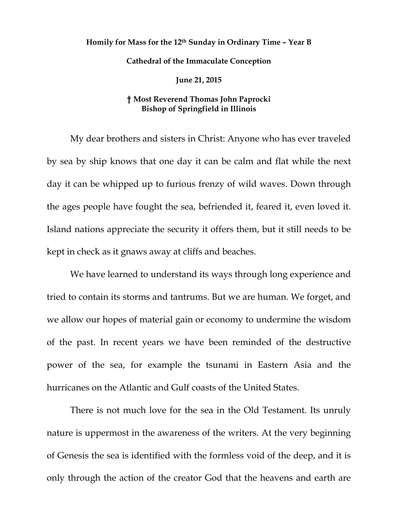## **Homily for Mass for the 12th Sunday in Ordinary Time – Year B Cathedral of the Immaculate Conception June 21, 2015**

## **† Most Reverend Thomas John Paprocki Bishop of Springfield in Illinois**

My dear brothers and sisters in Christ: Anyone who has ever traveled by sea by ship knows that one day it can be calm and flat while the next day it can be whipped up to furious frenzy of wild waves. Down through the ages people have fought the sea, befriended it, feared it, even loved it. Island nations appreciate the security it offers them, but it still needs to be kept in check as it gnaws away at cliffs and beaches.

We have learned to understand its ways through long experience and tried to contain its storms and tantrums. But we are human. We forget, and we allow our hopes of material gain or economy to undermine the wisdom of the past. In recent years we have been reminded of the destructive power of the sea, for example the tsunami in Eastern Asia and the hurricanes on the Atlantic and Gulf coasts of the United States.

There is not much love for the sea in the Old Testament. Its unruly nature is uppermost in the awareness of the writers. At the very beginning of Genesis the sea is identified with the formless void of the deep, and it is only through the action of the creator God that the heavens and earth are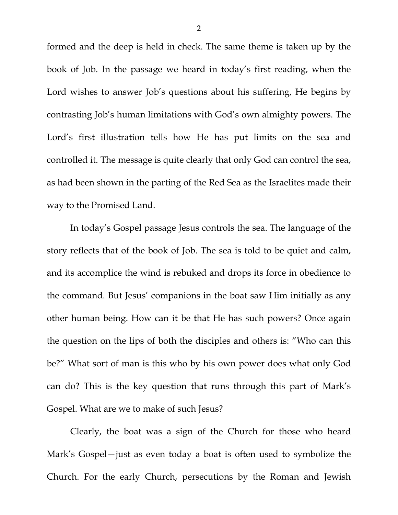formed and the deep is held in check. The same theme is taken up by the book of Job. In the passage we heard in today's first reading, when the Lord wishes to answer Job's questions about his suffering, He begins by contrasting Job's human limitations with God's own almighty powers. The Lord's first illustration tells how He has put limits on the sea and controlled it. The message is quite clearly that only God can control the sea, as had been shown in the parting of the Red Sea as the Israelites made their way to the Promised Land.

In today's Gospel passage Jesus controls the sea. The language of the story reflects that of the book of Job. The sea is told to be quiet and calm, and its accomplice the wind is rebuked and drops its force in obedience to the command. But Jesus' companions in the boat saw Him initially as any other human being. How can it be that He has such powers? Once again the question on the lips of both the disciples and others is: "Who can this be?" What sort of man is this who by his own power does what only God can do? This is the key question that runs through this part of Mark's Gospel. What are we to make of such Jesus?

Clearly, the boat was a sign of the Church for those who heard Mark's Gospel—just as even today a boat is often used to symbolize the Church. For the early Church, persecutions by the Roman and Jewish

2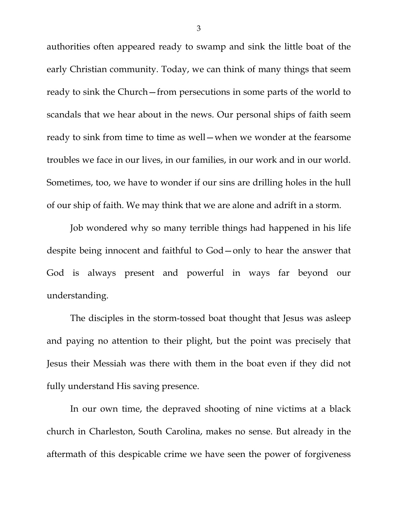authorities often appeared ready to swamp and sink the little boat of the early Christian community. Today, we can think of many things that seem ready to sink the Church—from persecutions in some parts of the world to scandals that we hear about in the news. Our personal ships of faith seem ready to sink from time to time as well—when we wonder at the fearsome troubles we face in our lives, in our families, in our work and in our world. Sometimes, too, we have to wonder if our sins are drilling holes in the hull of our ship of faith. We may think that we are alone and adrift in a storm.

Job wondered why so many terrible things had happened in his life despite being innocent and faithful to God—only to hear the answer that God is always present and powerful in ways far beyond our understanding.

The disciples in the storm-tossed boat thought that Jesus was asleep and paying no attention to their plight, but the point was precisely that Jesus their Messiah was there with them in the boat even if they did not fully understand His saving presence.

In our own time, the depraved shooting of nine victims at a black church in Charleston, South Carolina, makes no sense. But already in the aftermath of this despicable crime we have seen the power of forgiveness

3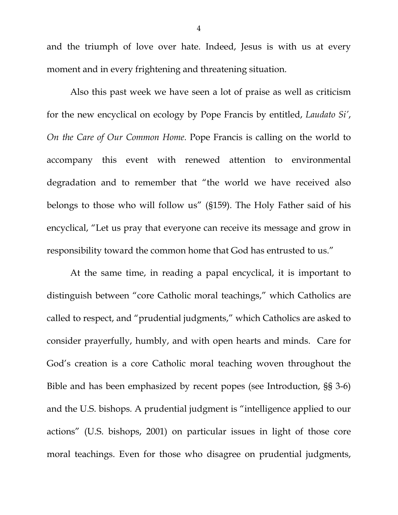and the triumph of love over hate. Indeed, Jesus is with us at every moment and in every frightening and threatening situation.

Also this past week we have seen a lot of praise as well as criticism for the new encyclical on ecology by Pope Francis by entitled, *Laudato Si'*, *On the Care of Our Common Home.* Pope Francis is calling on the world to accompany this event with renewed attention to environmental degradation and to remember that "the world we have received also belongs to those who will follow us" (§159). The Holy Father said of his encyclical, "Let us pray that everyone can receive its message and grow in responsibility toward the common home that God has entrusted to us."

At the same time, in reading a papal encyclical, it is important to distinguish between "core Catholic moral teachings," which Catholics are called to respect, and "prudential judgments," which Catholics are asked to consider prayerfully, humbly, and with open hearts and minds. Care for God's creation is a core Catholic moral teaching woven throughout the Bible and has been emphasized by recent popes (see Introduction, §§ 3-6) and the U.S. bishops*.* A prudential judgment is "intelligence applied to our actions" (U.S. bishops, 2001) on particular issues in light of those core moral teachings. Even for those who disagree on prudential judgments,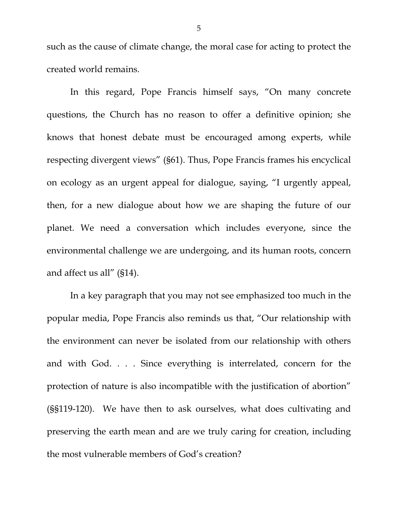such as the cause of climate change, the moral case for acting to protect the created world remains.

In this regard, Pope Francis himself says, "On many concrete questions, the Church has no reason to offer a definitive opinion; she knows that honest debate must be encouraged among experts, while respecting divergent views" (§61). Thus, Pope Francis frames his encyclical on ecology as an urgent appeal for dialogue, saying, "I urgently appeal, then, for a new dialogue about how we are shaping the future of our planet. We need a conversation which includes everyone, since the environmental challenge we are undergoing, and its human roots, concern and affect us all" (§14).

In a key paragraph that you may not see emphasized too much in the popular media, Pope Francis also reminds us that, "Our relationship with the environment can never be isolated from our relationship with others and with God. . . . Since everything is interrelated, concern for the protection of nature is also incompatible with the justification of abortion" (§§119-120). We have then to ask ourselves, what does cultivating and preserving the earth mean and are we truly caring for creation, including the most vulnerable members of God's creation?